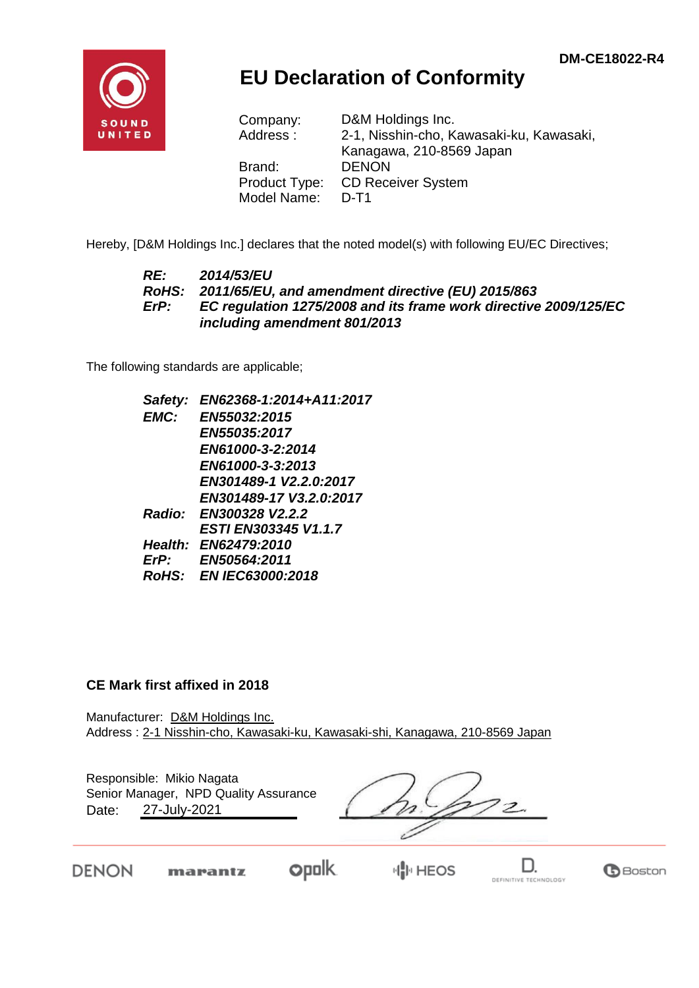

# **EU Declaration of Conformity**

Company: D&M Holdings Inc. Address : 2-1, Nisshin-cho, Kawasaki-ku, Kawasaki, Kanagawa, 210-8569 Japan Brand: DENON Product Type: CD Receiver System Model Name: D-T1

Hereby, [D&M Holdings Inc.] declares that the noted model(s) with following EU/EC Directives;

#### *RE: 2014/53/EU RoHS: 2011/65/EU, and amendment directive (EU) 2015/863 ErP: EC regulation 1275/2008 and its frame work directive 2009/125/EC including amendment 801/2013*

The following standards are applicable;

| Safety:     | EN62368-1:2014+A11:2017     |
|-------------|-----------------------------|
| EMC:        | EN55032:2015                |
|             | EN55035:2017                |
|             | EN61000-3-2:2014            |
|             | EN61000-3-3:2013            |
|             | EN301489-1 V2.2.0:2017      |
|             | EN301489-17 V3.2.0:2017     |
|             | Radio: EN300328 V2.2.2      |
|             | <b>ESTI EN303345 V1.1.7</b> |
|             | Health: EN62479:2010        |
| $E$ r $P$ : | EN50564:2011                |
|             | RoHS: EN IEC63000:2018      |
|             |                             |

### **CE Mark first affixed in 2018**

Manufacturer: D&M Holdings Inc. Address : 2-1 Nisshin-cho, Kawasaki-ku, Kawasaki-shi, Kanagawa, 210-8569 Japan

| Date: | Responsible: Mikio Nagata<br>Senior Manager, NPD Quality Assurance<br>27-July-2021 |                |  |
|-------|------------------------------------------------------------------------------------|----------------|--|
|       | marantz                                                                            | <b>EN HEOS</b> |  |

**Opolk** 

**情国HEOS**